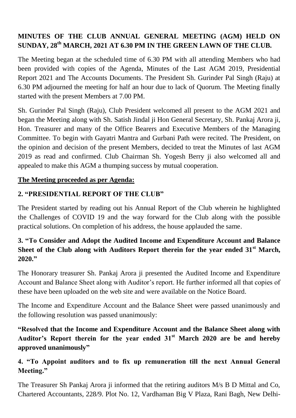# **MINUTES OF THE CLUB ANNUAL GENERAL MEETING (AGM) HELD ON SUNDAY, 28th MARCH, 2021 AT 6.30 PM IN THE GREEN LAWN OF THE CLUB.**

The Meeting began at the scheduled time of 6.30 PM with all attending Members who had been provided with copies of the Agenda, Minutes of the Last AGM 2019, Presidential Report 2021 and The Accounts Documents. The President Sh. Gurinder Pal Singh (Raju) at 6.30 PM adjourned the meeting for half an hour due to lack of Quorum. The Meeting finally started with the present Members at 7.00 PM.

Sh. Gurinder Pal Singh (Raju), Club President welcomed all present to the AGM 2021 and began the Meeting along with Sh. Satish Jindal ji Hon General Secretary, Sh. Pankaj Arora ji, Hon. Treasurer and many of the Office Bearers and Executive Members of the Managing Committee. To begin with Gayatri Mantra and Gurbani Path were recited. The President, on the opinion and decision of the present Members, decided to treat the Minutes of last AGM 2019 as read and confirmed. Club Chairman Sh. Yogesh Berry ji also welcomed all and appealed to make this AGM a thumping success by mutual cooperation.

#### **The Meeting proceeded as per Agenda:**

## **2. "PRESIDENTIAL REPORT OF THE CLUB"**

The President started by reading out his Annual Report of the Club wherein he highlighted the Challenges of COVID 19 and the way forward for the Club along with the possible practical solutions. On completion of his address, the house applauded the same.

#### **3. "To Consider and Adopt the Audited Income and Expenditure Account and Balance Sheet of the Club along with Auditors Report therein for the year ended 31st March, 2020."**

The Honorary treasurer Sh. Pankaj Arora ji presented the Audited Income and Expenditure Account and Balance Sheet along with Auditor's report. He further informed all that copies of these have been uploaded on the web site and were available on the Notice Board.

The Income and Expenditure Account and the Balance Sheet were passed unanimously and the following resolution was passed unanimously:

# **"Resolved that the Income and Expenditure Account and the Balance Sheet along with Auditor's Report therein for the year ended 31st March 2020 are be and hereby approved unanimously"**

## **4. "To Appoint auditors and to fix up remuneration till the next Annual General Meeting."**

The Treasurer Sh Pankaj Arora ji informed that the retiring auditors M/s B D Mittal and Co, Chartered Accountants, 228/9. Plot No. 12, Vardhaman Big V Plaza, Rani Bagh, New Delhi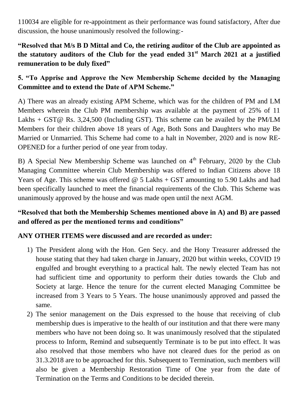110034 are eligible for re-appointment as their performance was found satisfactory, After due discussion, the house unanimously resolved the following:-

# **"Resolved that M/s B D Mittal and Co, the retiring auditor of the Club are appointed as the statutory auditors of the Club for the yead ended 31st March 2021 at a justified remuneration to be duly fixed"**

# **5. "To Apprise and Approve the New Membership Scheme decided by the Managing Committee and to extend the Date of APM Scheme."**

A) There was an already existing APM Scheme, which was for the children of PM and LM Members wherein the Club PM membership was available at the payment of 25% of 11 Lakhs + GST@ Rs. 3,24,500 (Including GST). This scheme can be availed by the PM/LM Members for their children above 18 years of Age, Both Sons and Daughters who may Be Married or Unmarried. This Scheme had come to a halt in November, 2020 and is now RE-OPENED for a further period of one year from today.

B) A Special New Membership Scheme was launched on  $4<sup>th</sup>$  February, 2020 by the Club Managing Committee wherein Club Membership was offered to Indian Citizens above 18 Years of Age. This scheme was offered  $\omega$  5 Lakhs + GST amounting to 5.90 Lakhs and had been specifically launched to meet the financial requirements of the Club. This Scheme was unanimously approved by the house and was made open until the next AGM.

#### **"Resolved that both the Membership Schemes mentioned above in A) and B) are passed and offered as per the mentioned terms and conditions"**

#### **ANY OTHER ITEMS were discussed and are recorded as under:**

- 1) The President along with the Hon. Gen Secy. and the Hony Treasurer addressed the house stating that they had taken charge in January, 2020 but within weeks, COVID 19 engulfed and brought everything to a practical halt. The newly elected Team has not had sufficient time and opportunity to perform their duties towards the Club and Society at large. Hence the tenure for the current elected Managing Committee be increased from 3 Years to 5 Years. The house unanimously approved and passed the same.
- 2) The senior management on the Dais expressed to the house that receiving of club membership dues is imperative to the health of our institution and that there were many members who have not been doing so. It was unanimously resolved that the stipulated process to Inform, Remind and subsequently Terminate is to be put into effect. It was also resolved that those members who have not cleared dues for the period as on 31.3.2018 are to be approached for this. Subsequent to Termination, such members will also be given a Membership Restoration Time of One year from the date of Termination on the Terms and Conditions to be decided therein.